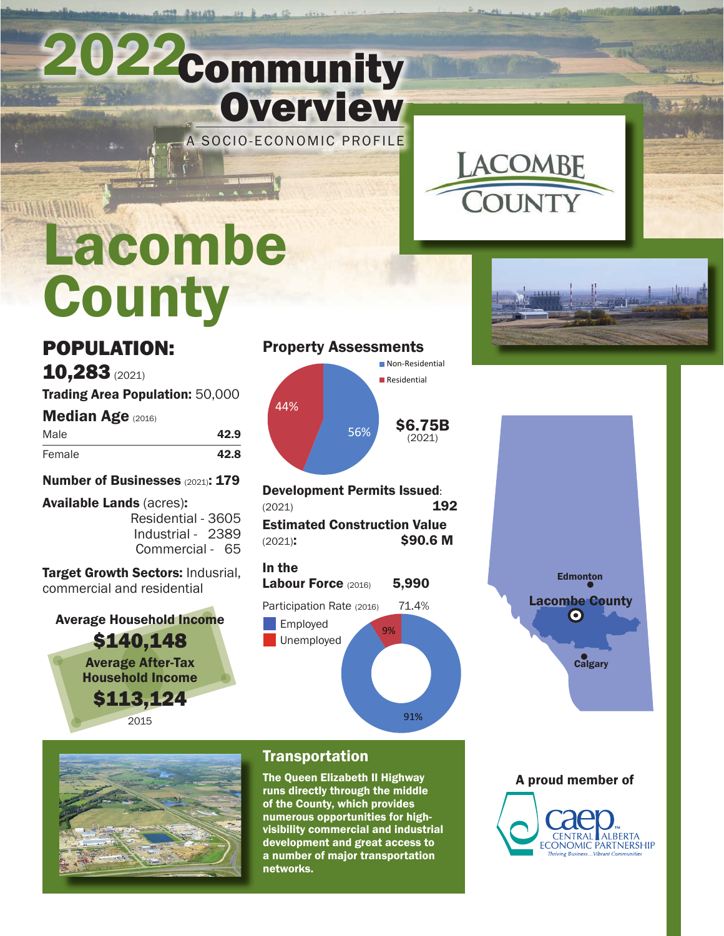# 2022Community **Overview**

A SOCIO-ECONOMIC PROFILE



# **BERTHAM AND REAL PROPERTY** Lacombe **County**

# POPULATION:

10,283 (2021)

Trading Area Population: 50,000

**Median Age (2016)** 

| Male   | 42.9 |
|--------|------|
| Female | 42.8 |

Number of Businesses (2021): 179

Available Lands (acres): Residential - 3605 Industrial - 2389 Commercial - 65

#### Target Growth Sectors: Indusrial, commercial and residential

Average Household Income \$140,148 Average After-Tax Household Income \$113,124

2015

### Property Assessments



Development Permits Issued: (2021) 192 Estimated Construction Value (2021): \$90.6 M

| In the<br><b>Labour Force (2016)</b>                | 5,990       |
|-----------------------------------------------------|-------------|
| Participation Rate (2016)<br>Employed<br>Unemployed | 71.4%<br>9% |

91%







## Transportation

The Queen Elizabeth II Highway runs directly through the middle of the County, which provides numerous opportunities for highvisibility commercial and industrial development and great access to a number of major transportation networks.

A proud member of CENTRAL **ALBERTA ECONOMIC PARTNERSHIP**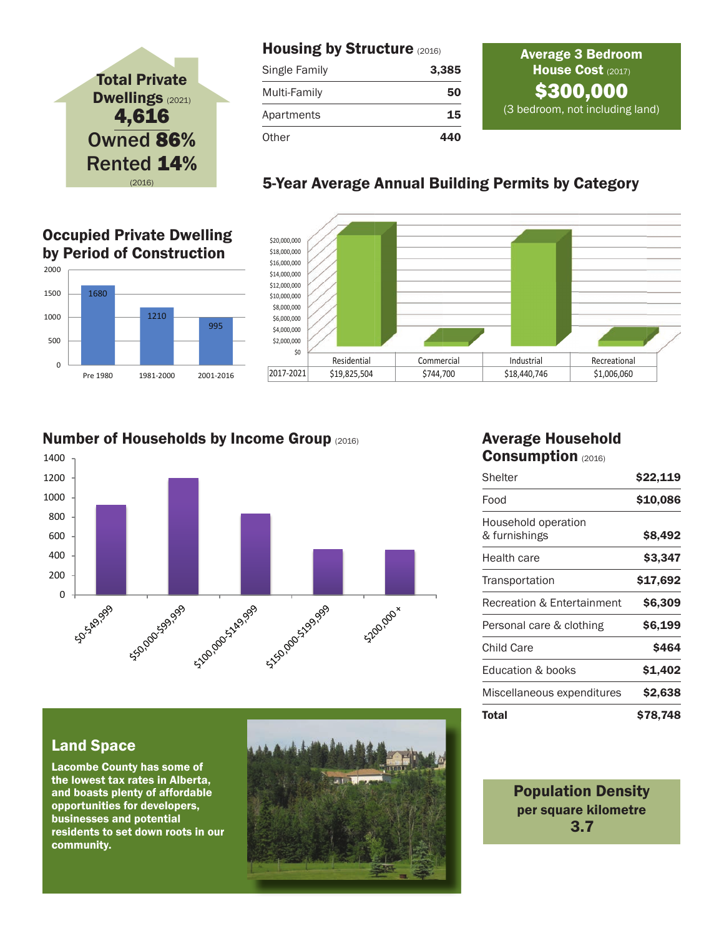# Total Private Dwellings (2021) 4,616 Owned 86% Rented 14%

**Occupied Private Dwelling of Construction** by Period of Construction

1210

Pre 1980 1981-2000 2001-2016

1680

0

500

1000 1500

2000

#### Housing by Structure (2016)

| Single Family | 3,385 |
|---------------|-------|
| Multi-Family  | 50    |
| Apartments    | 15    |
| Other         | 440   |

#### Average 3 Bedroom House Cost (2017) \$300,000 (3 bedroom, not including land)

### (2016) 5-Year Average Annual Building Permits by Category



#### Number of Households by Income Group (2016)

995



#### Average Household Consumption (2016)

| Shelter                               | \$22,119 |
|---------------------------------------|----------|
| Food                                  | \$10,086 |
| Household operation<br>& furnishings  | \$8,492  |
| Health care                           | \$3,347  |
| Transportation                        | \$17,692 |
| <b>Recreation &amp; Entertainment</b> | \$6,309  |
| Personal care & clothing              | \$6,199  |
| Child Care                            | \$464    |
| Education & books                     | \$1,402  |
| Miscellaneous expenditures            | \$2,638  |
| Total                                 | \$78,748 |

#### Land Space

Lacombe County has some of the lowest tax rates in Alberta, and boasts plenty of affordable opportunities for developers, businesses and potential residents to set down roots in our community.



Population Density per square kilometre 3.7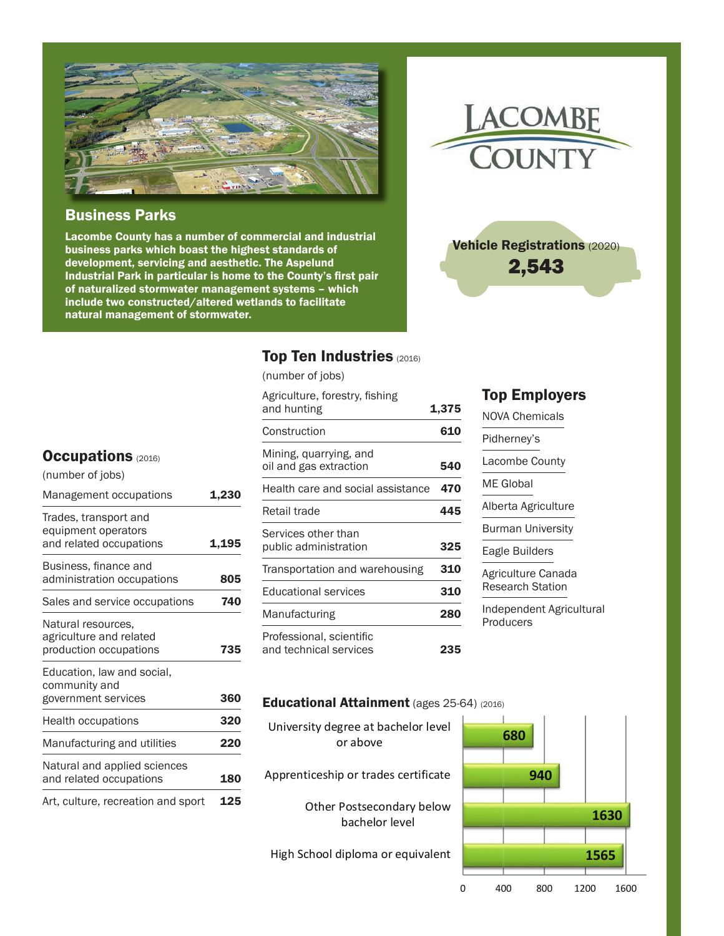

#### Business Parks

Lacombe County has a number of commercial and industrial business parks which boast the highest standards of development, servicing and aesthetic. The Aspelund Industrial Park in particular is home to the County's first pair of naturalized stormwater management systems – which include two constructed/altered wetlands to facilitate natural management of stormwater.



Vehicle Registrations (2020) 2,543

#### Top Ten Industries (2016)

(number of jobs)

| Agriculture, forestry, fishing<br>and hunting      | 1,375      |
|----------------------------------------------------|------------|
| Construction                                       | 610        |
| Mining, quarrying, and<br>oil and gas extraction   | 540        |
| Health care and social assistance                  | 470        |
| Retail trade                                       | 445        |
| Services other than<br>public administration       | 325        |
| Transportation and warehousing                     | <b>310</b> |
| <b>Educational services</b>                        | 310        |
| Manufacturing                                      | 280        |
| Professional, scientific<br>and technical services | 235        |

#### Top Employers

NOVA Chemicals Pidherney's Lacombe County ME Global Alberta Agriculture Burman University Eagle Builders Agriculture Canada Research Station Independent Agricultural

**Producers** 

#### **Educational Attainment** (ages 25-64) (2016)

Apprenticeship or trades certificate University degree at bachelor level or above

> Other Postsecondary below bachelor level



#### **Occupations (2016)**

| (number of jobs)                                                        |       |
|-------------------------------------------------------------------------|-------|
| Management occupations                                                  | 1,230 |
| Trades, transport and<br>equipment operators<br>and related occupations | 1.195 |
| Business, finance and<br>administration occupations                     | 805   |
| Sales and service occupations                                           | 740   |
| Natural resources,<br>agriculture and related<br>production occupations | 735   |
| Education, law and social,<br>community and<br>government services      | 360   |
| Health occupations                                                      | 320   |
| Manufacturing and utilities                                             | 220   |
| Natural and applied sciences<br>and related occupations                 | 180   |
| Art, culture, recreation and sport                                      | 125   |

#### High School diploma or equivalent